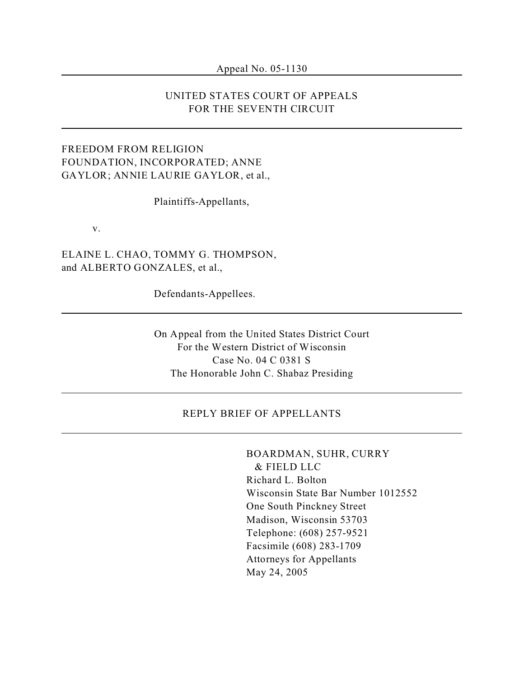#### Appeal No. 05-1130

## UNITED STATES COURT OF APPEALS FOR THE SEVENTH CIRCUIT

## FREEDOM FROM RELIGION FOUNDATION, INCORPORATED; ANNE GAYLOR; ANNIE LAURIE GAYLOR, et al.,

Plaintiffs-Appellants,

v.

ELAINE L. CHAO, TOMMY G. THOMPSON, and ALBERTO GONZALES, et al.,

Defendants-Appellees.

On Appeal from the United States District Court For the Western District of Wisconsin Case No. 04 C 0381 S The Honorable John C. Shabaz Presiding

#### REPLY BRIEF OF APPELLANTS

# BOARDMAN, SUHR, CURRY

 & FIELD LLC Richard L. Bolton Wisconsin State Bar Number 1012552 One South Pinckney Street Madison, Wisconsin 53703 Telephone: (608) 257-9521 Facsimile (608) 283-1709 Attorneys for Appellants May 24, 2005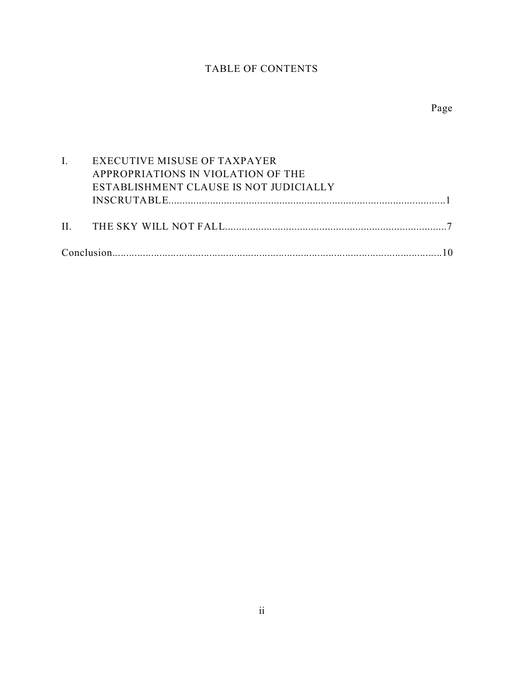# TABLE OF CONTENTS

| I. EXECUTIVE MISUSE OF TAXPAYER        |
|----------------------------------------|
| APPROPRIATIONS IN VIOLATION OF THE     |
| ESTABLISHMENT CLAUSE IS NOT JUDICIALLY |
|                                        |
|                                        |
|                                        |
|                                        |
|                                        |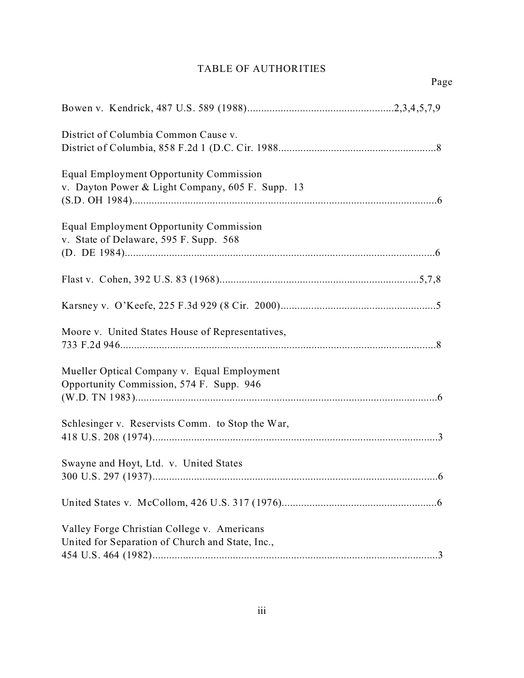# TABLE OF AUTHORITIES

| District of Columbia Common Cause v.                                                            |
|-------------------------------------------------------------------------------------------------|
|                                                                                                 |
| Equal Employment Opportunity Commission<br>v. Dayton Power & Light Company, 605 F. Supp. 13     |
| Equal Employment Opportunity Commission<br>v. State of Delaware, 595 F. Supp. 568               |
|                                                                                                 |
|                                                                                                 |
|                                                                                                 |
| Moore v. United States House of Representatives,                                                |
| Mueller Optical Company v. Equal Employment<br>Opportunity Commission, 574 F. Supp. 946         |
| Schlesinger v. Reservists Comm. to Stop the War,                                                |
| Swayne and Hoyt, Ltd. v. United States                                                          |
|                                                                                                 |
| Valley Forge Christian College v. Americans<br>United for Separation of Church and State, Inc., |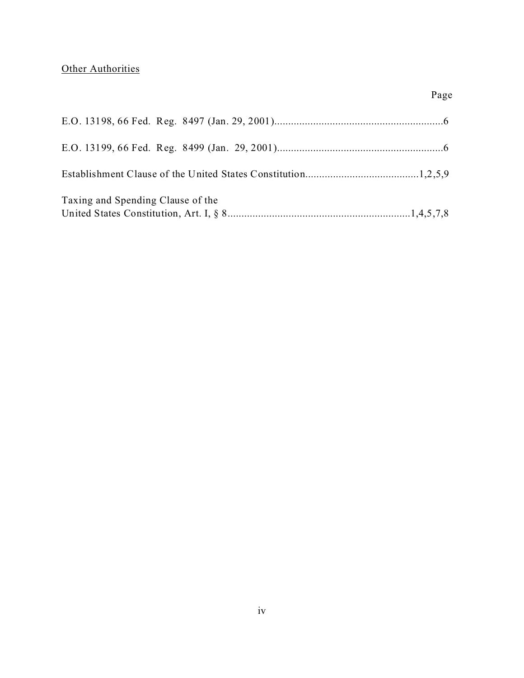## **Other Authorities**

| Taxing and Spending Clause of the |  |
|-----------------------------------|--|

Page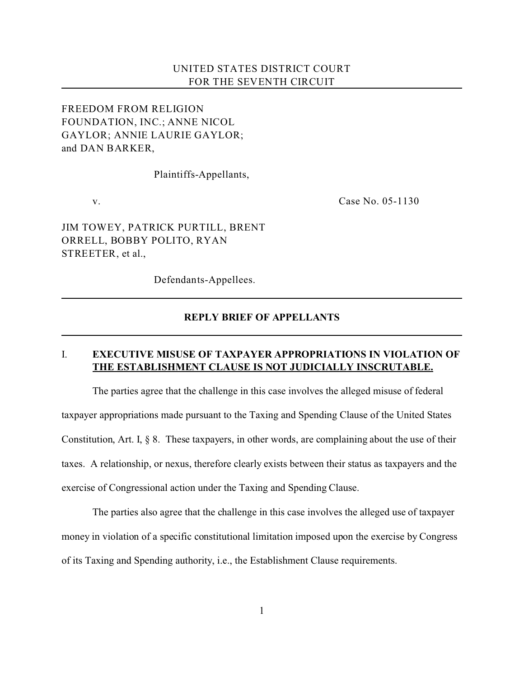### UNITED STATES DISTRICT COURT FOR THE SEVENTH CIRCUIT

## FREEDOM FROM RELIGION FOUNDATION, INC.; ANNE NICOL GAYLOR; ANNIE LAURIE GAYLOR; and DAN BARKER,

Plaintiffs-Appellants,

v. **Case No. 05-1130** 

JIM TOWEY, PATRICK PURTILL, BRENT ORRELL, BOBBY POLITO, RYAN STREETER, et al.,

Defendants-Appellees.

### **REPLY BRIEF OF APPELLANTS**

### I. **EXECUTIVE MISUSE OF TAXPAYER APPROPRIATIONS IN VIOLATION OF THE ESTABLISHMENT CLAUSE IS NOT JUDICIALLY INSCRUTABLE.**

The parties agree that the challenge in this case involves the alleged misuse of federal taxpayer appropriations made pursuant to the Taxing and Spending Clause of the United States Constitution, Art. I, § 8. These taxpayers, in other words, are complaining about the use of their taxes. A relationship, or nexus, therefore clearly exists between their status as taxpayers and the exercise of Congressional action under the Taxing and Spending Clause.

The parties also agree that the challenge in this case involves the alleged use of taxpayer money in violation of a specific constitutional limitation imposed upon the exercise by Congress of its Taxing and Spending authority, i.e., the Establishment Clause requirements.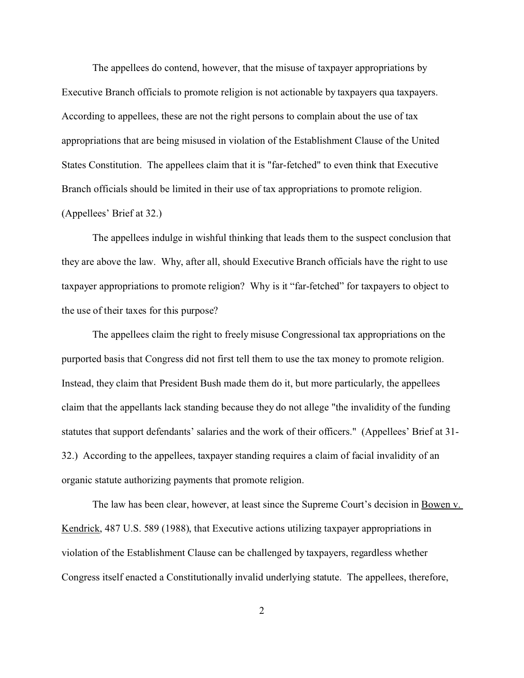The appellees do contend, however, that the misuse of taxpayer appropriations by Executive Branch officials to promote religion is not actionable by taxpayers qua taxpayers. According to appellees, these are not the right persons to complain about the use of tax appropriations that are being misused in violation of the Establishment Clause of the United States Constitution. The appellees claim that it is "far-fetched" to even think that Executive Branch officials should be limited in their use of tax appropriations to promote religion. (Appellees' Brief at 32.)

The appellees indulge in wishful thinking that leads them to the suspect conclusion that they are above the law. Why, after all, should Executive Branch officials have the right to use taxpayer appropriations to promote religion? Why is it "far-fetched" for taxpayers to object to the use of their taxes for this purpose?

The appellees claim the right to freely misuse Congressional tax appropriations on the purported basis that Congress did not first tell them to use the tax money to promote religion. Instead, they claim that President Bush made them do it, but more particularly, the appellees claim that the appellants lack standing because they do not allege "the invalidity of the funding statutes that support defendants' salaries and the work of their officers." (Appellees' Brief at 31- 32.) According to the appellees, taxpayer standing requires a claim of facial invalidity of an organic statute authorizing payments that promote religion.

The law has been clear, however, at least since the Supreme Court's decision in Bowen v. Kendrick, 487 U.S. 589 (1988), that Executive actions utilizing taxpayer appropriations in violation of the Establishment Clause can be challenged by taxpayers, regardless whether Congress itself enacted a Constitutionally invalid underlying statute. The appellees, therefore,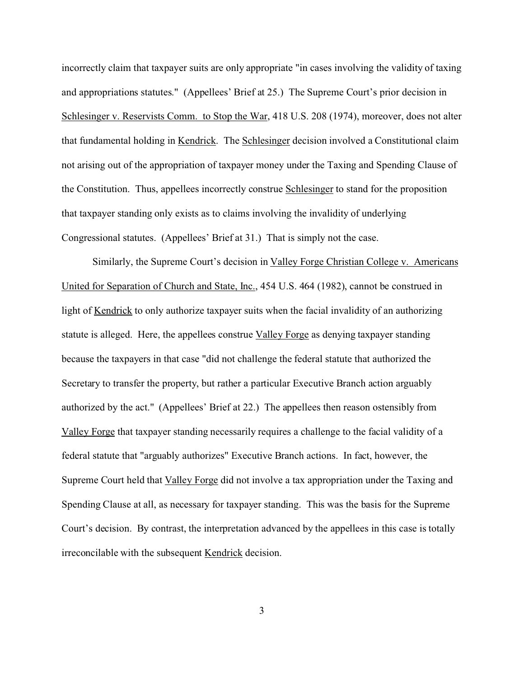incorrectly claim that taxpayer suits are only appropriate "in cases involving the validity of taxing and appropriations statutes." (Appellees' Brief at 25.) The Supreme Court's prior decision in Schlesinger v. Reservists Comm. to Stop the War, 418 U.S. 208 (1974), moreover, does not alter that fundamental holding in Kendrick. The Schlesinger decision involved a Constitutional claim not arising out of the appropriation of taxpayer money under the Taxing and Spending Clause of the Constitution. Thus, appellees incorrectly construe Schlesinger to stand for the proposition that taxpayer standing only exists as to claims involving the invalidity of underlying Congressional statutes. (Appellees' Brief at 31.) That is simply not the case.

Similarly, the Supreme Court's decision in Valley Forge Christian College v. Americans United for Separation of Church and State, Inc., 454 U.S. 464 (1982), cannot be construed in light of Kendrick to only authorize taxpayer suits when the facial invalidity of an authorizing statute is alleged. Here, the appellees construe Valley Forge as denying taxpayer standing because the taxpayers in that case "did not challenge the federal statute that authorized the Secretary to transfer the property, but rather a particular Executive Branch action arguably authorized by the act." (Appellees' Brief at 22.) The appellees then reason ostensibly from Valley Forge that taxpayer standing necessarily requires a challenge to the facial validity of a federal statute that "arguably authorizes" Executive Branch actions. In fact, however, the Supreme Court held that Valley Forge did not involve a tax appropriation under the Taxing and Spending Clause at all, as necessary for taxpayer standing. This was the basis for the Supreme Court's decision. By contrast, the interpretation advanced by the appellees in this case is totally irreconcilable with the subsequent Kendrick decision.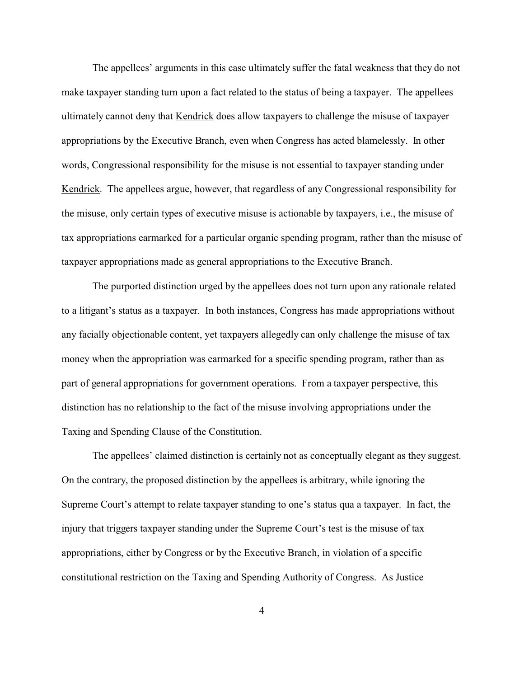The appellees' arguments in this case ultimately suffer the fatal weakness that they do not make taxpayer standing turn upon a fact related to the status of being a taxpayer. The appellees ultimately cannot deny that Kendrick does allow taxpayers to challenge the misuse of taxpayer appropriations by the Executive Branch, even when Congress has acted blamelessly. In other words, Congressional responsibility for the misuse is not essential to taxpayer standing under Kendrick. The appellees argue, however, that regardless of any Congressional responsibility for the misuse, only certain types of executive misuse is actionable by taxpayers, i.e., the misuse of tax appropriations earmarked for a particular organic spending program, rather than the misuse of taxpayer appropriations made as general appropriations to the Executive Branch.

The purported distinction urged by the appellees does not turn upon any rationale related to a litigant's status as a taxpayer. In both instances, Congress has made appropriations without any facially objectionable content, yet taxpayers allegedly can only challenge the misuse of tax money when the appropriation was earmarked for a specific spending program, rather than as part of general appropriations for government operations. From a taxpayer perspective, this distinction has no relationship to the fact of the misuse involving appropriations under the Taxing and Spending Clause of the Constitution.

The appellees' claimed distinction is certainly not as conceptually elegant as they suggest. On the contrary, the proposed distinction by the appellees is arbitrary, while ignoring the Supreme Court's attempt to relate taxpayer standing to one's status qua a taxpayer. In fact, the injury that triggers taxpayer standing under the Supreme Court's test is the misuse of tax appropriations, either by Congress or by the Executive Branch, in violation of a specific constitutional restriction on the Taxing and Spending Authority of Congress. As Justice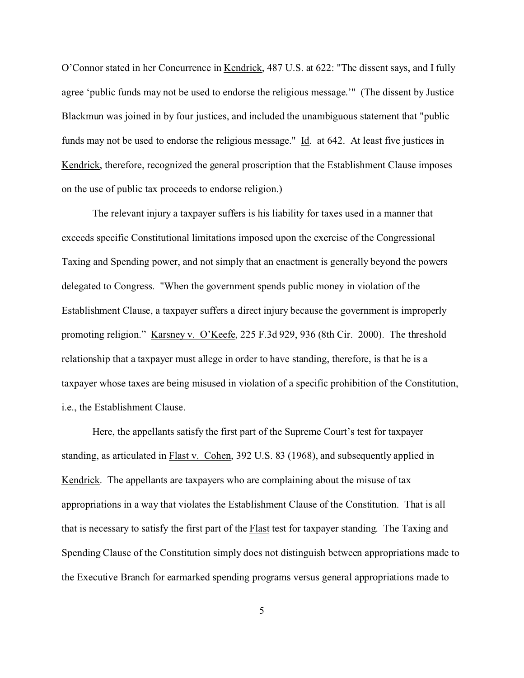O'Connor stated in her Concurrence in Kendrick, 487 U.S. at 622: "The dissent says, and I fully agree 'public funds may not be used to endorse the religious message.'" (The dissent by Justice Blackmun was joined in by four justices, and included the unambiguous statement that "public funds may not be used to endorse the religious message." Id. at 642. At least five justices in Kendrick, therefore, recognized the general proscription that the Establishment Clause imposes on the use of public tax proceeds to endorse religion.)

The relevant injury a taxpayer suffers is his liability for taxes used in a manner that exceeds specific Constitutional limitations imposed upon the exercise of the Congressional Taxing and Spending power, and not simply that an enactment is generally beyond the powers delegated to Congress. "When the government spends public money in violation of the Establishment Clause, a taxpayer suffers a direct injury because the government is improperly promoting religion." Karsney v. O'Keefe, 225 F.3d 929, 936 (8th Cir. 2000). The threshold relationship that a taxpayer must allege in order to have standing, therefore, is that he is a taxpayer whose taxes are being misused in violation of a specific prohibition of the Constitution, i.e., the Establishment Clause.

Here, the appellants satisfy the first part of the Supreme Court's test for taxpayer standing, as articulated in Flast v. Cohen, 392 U.S. 83 (1968), and subsequently applied in Kendrick. The appellants are taxpayers who are complaining about the misuse of tax appropriations in a way that violates the Establishment Clause of the Constitution. That is all that is necessary to satisfy the first part of the Flast test for taxpayer standing. The Taxing and Spending Clause of the Constitution simply does not distinguish between appropriations made to the Executive Branch for earmarked spending programs versus general appropriations made to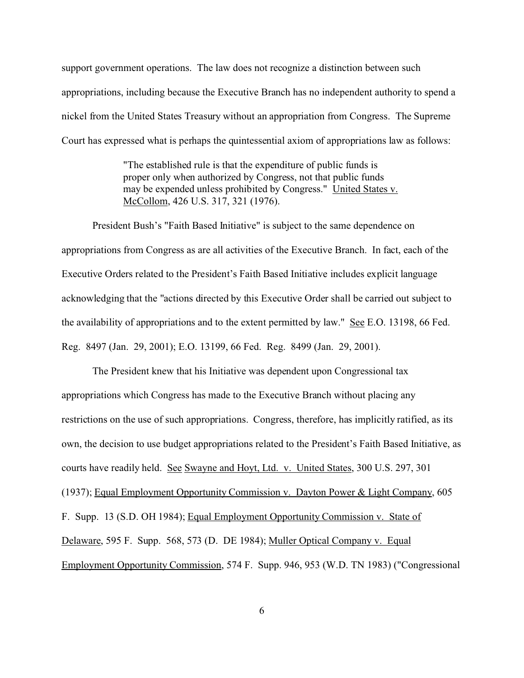support government operations. The law does not recognize a distinction between such appropriations, including because the Executive Branch has no independent authority to spend a nickel from the United States Treasury without an appropriation from Congress. The Supreme Court has expressed what is perhaps the quintessential axiom of appropriations law as follows:

> "The established rule is that the expenditure of public funds is proper only when authorized by Congress, not that public funds may be expended unless prohibited by Congress." United States v. McCollom, 426 U.S. 317, 321 (1976).

President Bush's "Faith Based Initiative" is subject to the same dependence on appropriations from Congress as are all activities of the Executive Branch. In fact, each of the Executive Orders related to the President's Faith Based Initiative includes explicit language acknowledging that the "actions directed by this Executive Order shall be carried out subject to the availability of appropriations and to the extent permitted by law." See E.O. 13198, 66 Fed. Reg. 8497 (Jan. 29, 2001); E.O. 13199, 66 Fed. Reg. 8499 (Jan. 29, 2001).

The President knew that his Initiative was dependent upon Congressional tax appropriations which Congress has made to the Executive Branch without placing any restrictions on the use of such appropriations. Congress, therefore, has implicitly ratified, as its own, the decision to use budget appropriations related to the President's Faith Based Initiative, as courts have readily held. See Swayne and Hoyt, Ltd. v. United States, 300 U.S. 297, 301 (1937); Equal Employment Opportunity Commission v. Dayton Power & Light Company, 605 F. Supp. 13 (S.D. OH 1984); Equal Employment Opportunity Commission v. State of Delaware, 595 F. Supp. 568, 573 (D. DE 1984); Muller Optical Company v. Equal Employment Opportunity Commission, 574 F. Supp. 946, 953 (W.D. TN 1983) ("Congressional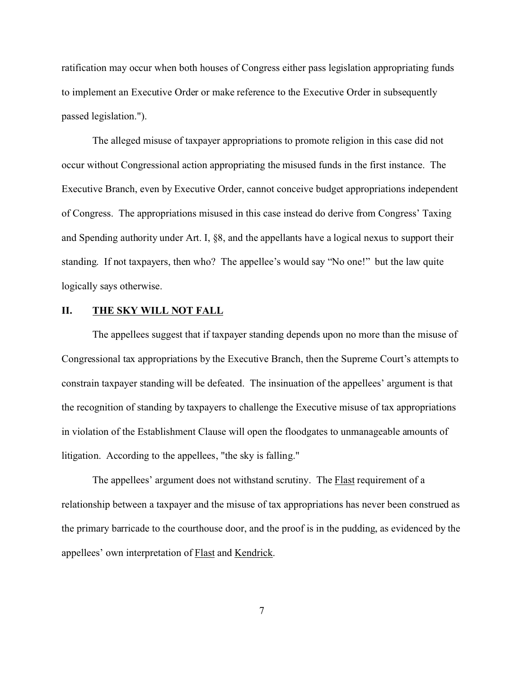ratification may occur when both houses of Congress either pass legislation appropriating funds to implement an Executive Order or make reference to the Executive Order in subsequently passed legislation.").

The alleged misuse of taxpayer appropriations to promote religion in this case did not occur without Congressional action appropriating the misused funds in the first instance. The Executive Branch, even by Executive Order, cannot conceive budget appropriations independent of Congress. The appropriations misused in this case instead do derive from Congress' Taxing and Spending authority under Art. I, §8, and the appellants have a logical nexus to support their standing. If not taxpayers, then who? The appellee's would say "No one!" but the law quite logically says otherwise.

#### **II. THE SKY WILL NOT FALL**

The appellees suggest that if taxpayer standing depends upon no more than the misuse of Congressional tax appropriations by the Executive Branch, then the Supreme Court's attempts to constrain taxpayer standing will be defeated. The insinuation of the appellees' argument is that the recognition of standing by taxpayers to challenge the Executive misuse of tax appropriations in violation of the Establishment Clause will open the floodgates to unmanageable amounts of litigation. According to the appellees, "the sky is falling."

The appellees' argument does not withstand scrutiny. The **Flast requirement** of a relationship between a taxpayer and the misuse of tax appropriations has never been construed as the primary barricade to the courthouse door, and the proof is in the pudding, as evidenced by the appellees' own interpretation of Flast and Kendrick.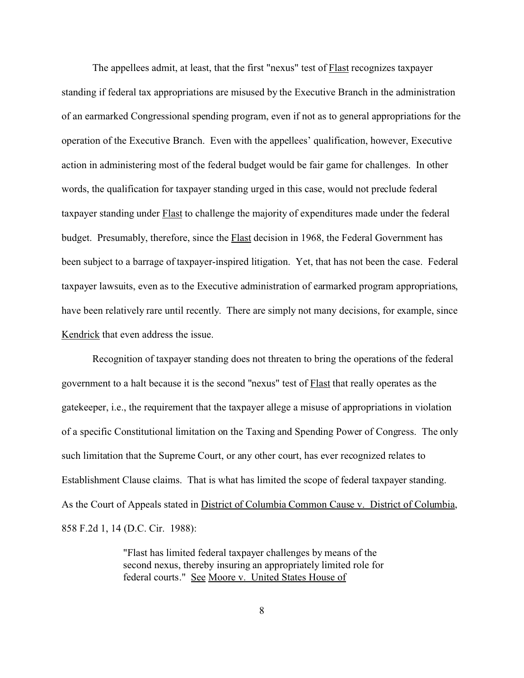The appellees admit, at least, that the first "nexus" test of **Flast** recognizes taxpayer standing if federal tax appropriations are misused by the Executive Branch in the administration of an earmarked Congressional spending program, even if not as to general appropriations for the operation of the Executive Branch. Even with the appellees' qualification, however, Executive action in administering most of the federal budget would be fair game for challenges. In other words, the qualification for taxpayer standing urged in this case, would not preclude federal taxpayer standing under Flast to challenge the majority of expenditures made under the federal budget. Presumably, therefore, since the Flast decision in 1968, the Federal Government has been subject to a barrage of taxpayer-inspired litigation. Yet, that has not been the case. Federal taxpayer lawsuits, even as to the Executive administration of earmarked program appropriations, have been relatively rare until recently. There are simply not many decisions, for example, since Kendrick that even address the issue.

Recognition of taxpayer standing does not threaten to bring the operations of the federal government to a halt because it is the second "nexus" test of Flast that really operates as the gatekeeper, i.e., the requirement that the taxpayer allege a misuse of appropriations in violation of a specific Constitutional limitation on the Taxing and Spending Power of Congress. The only such limitation that the Supreme Court, or any other court, has ever recognized relates to Establishment Clause claims. That is what has limited the scope of federal taxpayer standing. As the Court of Appeals stated in District of Columbia Common Cause v. District of Columbia, 858 F.2d 1, 14 (D.C. Cir. 1988):

> "Flast has limited federal taxpayer challenges by means of the second nexus, thereby insuring an appropriately limited role for federal courts." See Moore v. United States House of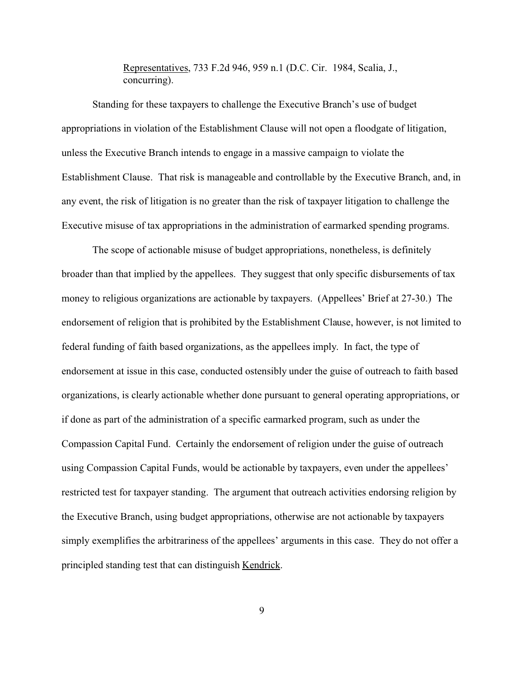Representatives, 733 F.2d 946, 959 n.1 (D.C. Cir. 1984, Scalia, J., concurring).

Standing for these taxpayers to challenge the Executive Branch's use of budget appropriations in violation of the Establishment Clause will not open a floodgate of litigation, unless the Executive Branch intends to engage in a massive campaign to violate the Establishment Clause. That risk is manageable and controllable by the Executive Branch, and, in any event, the risk of litigation is no greater than the risk of taxpayer litigation to challenge the Executive misuse of tax appropriations in the administration of earmarked spending programs.

The scope of actionable misuse of budget appropriations, nonetheless, is definitely broader than that implied by the appellees. They suggest that only specific disbursements of tax money to religious organizations are actionable by taxpayers. (Appellees' Brief at 27-30.) The endorsement of religion that is prohibited by the Establishment Clause, however, is not limited to federal funding of faith based organizations, as the appellees imply. In fact, the type of endorsement at issue in this case, conducted ostensibly under the guise of outreach to faith based organizations, is clearly actionable whether done pursuant to general operating appropriations, or if done as part of the administration of a specific earmarked program, such as under the Compassion Capital Fund. Certainly the endorsement of religion under the guise of outreach using Compassion Capital Funds, would be actionable by taxpayers, even under the appellees' restricted test for taxpayer standing. The argument that outreach activities endorsing religion by the Executive Branch, using budget appropriations, otherwise are not actionable by taxpayers simply exemplifies the arbitrariness of the appellees' arguments in this case. They do not offer a principled standing test that can distinguish Kendrick.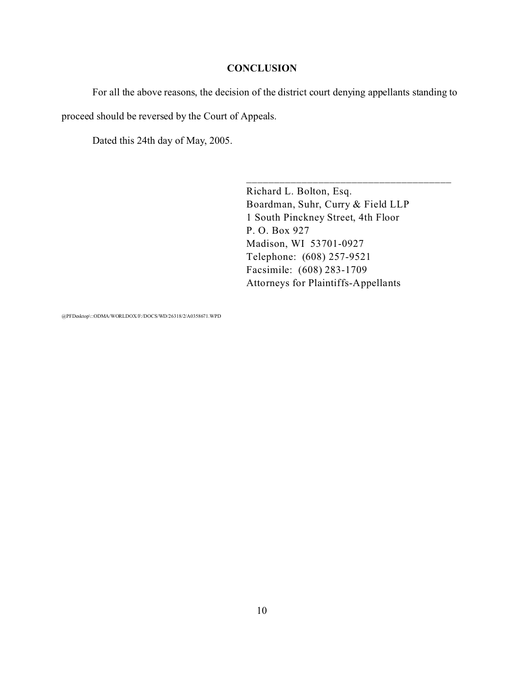#### **CONCLUSION**

For all the above reasons, the decision of the district court denying appellants standing to

proceed should be reversed by the Court of Appeals.

Dated this 24th day of May, 2005.

Richard L. Bolton, Esq. Boardman, Suhr, Curry & Field LLP 1 South Pinckney Street, 4th Floor P. O. Box 927 Madison, WI 53701-0927 Telephone: (608) 257-9521 Facsimile: (608) 283-1709 Attorneys for Plaintiffs-Appellants

\_\_\_\_\_\_\_\_\_\_\_\_\_\_\_\_\_\_\_\_\_\_\_\_\_\_\_\_\_\_\_\_\_\_\_\_\_

@PFDesktop\::ODMA/WORLDOX/F:/DOCS/WD/26318/2/A0358671.WPD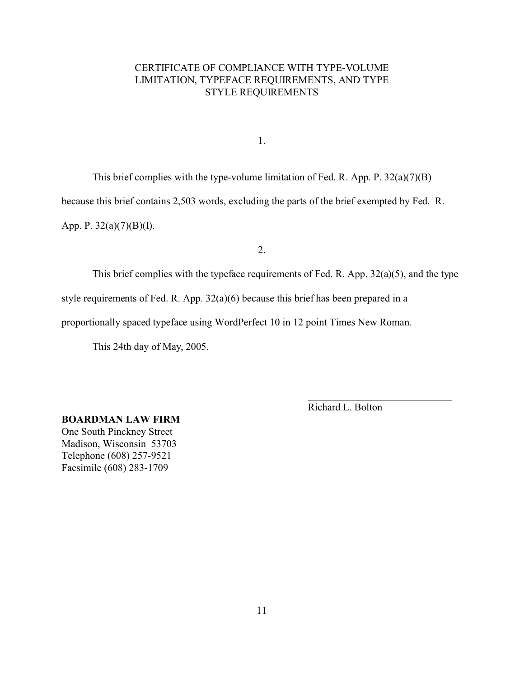## CERTIFICATE OF COMPLIANCE WITH TYPE-VOLUME LIMITATION, TYPEFACE REQUIREMENTS, AND TYPE STYLE REQUIREMENTS

1.

This brief complies with the type-volume limitation of Fed. R. App. P. 32(a)(7)(B) because this brief contains 2,503 words, excluding the parts of the brief exempted by Fed. R. App. P. 32(a)(7)(B)(I).

2.

This brief complies with the typeface requirements of Fed. R. App. 32(a)(5), and the type

style requirements of Fed. R. App. 32(a)(6) because this brief has been prepared in a

proportionally spaced typeface using WordPerfect 10 in 12 point Times New Roman.

This 24th day of May, 2005.

Richard L. Bolton

\_\_\_\_\_\_\_\_\_\_\_\_\_\_\_\_\_\_\_\_\_\_\_\_\_\_\_\_

**BOARDMAN LAW FIRM** One South Pinckney Street Madison, Wisconsin 53703 Telephone (608) 257-9521 Facsimile (608) 283-1709